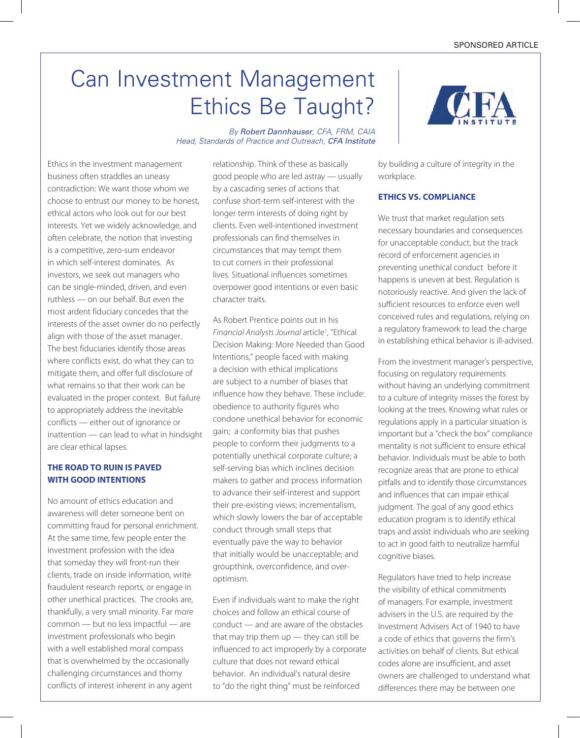# Can Investment Management Ethics Be Taught?

*By* Robert Dannhauser*, CFA, FRM, CAIA Head, Standards of Practice and Outreach,* CFA Institute

Ethics in the investment management business often straddles an uneasy contradiction: We want those whom we choose to entrust our money to be honest, ethical actors who look out for our best interests. Yet we widely acknowledge, and often celebrate, the notion that investing is a competitive, zero-sum endeavor in which self-interest dominates. As investors, we seek out managers who can be single-minded, driven, and even ruthless — on our behalf. But even the most ardent fiduciary concedes that the interests of the asset owner do no perfectly align with those of the asset manager. The best fiduciaries identify those areas where conflicts exist, do what they can to mitigate them, and offer full disclosure of what remains so that their work can be evaluated in the proper context. But failure to appropriately address the inevitable conflicts — either out of ignorance or inattention — can lead to what in hindsight are clear ethical lapses.

### **The Road to Ruin is Paved with Good Intentions**

No amount of ethics education and awareness will deter someone bent on committing fraud for personal enrichment. At the same time, few people enter the investment profession with the idea that someday they will front-run their clients, trade on inside information, write fraudulent research reports, or engage in other unethical practices. The crooks are, thankfully, a very small minority. Far more common — but no less impactful — are investment professionals who begin with a well established moral compass that is overwhelmed by the occasionally challenging circumstances and thorny conflicts of interest inherent in any agent

relationship. Think of these as basically good people who are led astray — usually by a cascading series of actions that confuse short-term self-interest with the longer term interests of doing right by clients. Even well-intentioned investment professionals can find themselves in circumstances that may tempt them to cut corners in their professional lives. Situational influences sometimes overpower good intentions or even basic character traits.

As Robert Prentice points out in his Financial Analysts Journal article<sup>1</sup>, "Ethical Decision Making: More Needed than Good Intentions," people faced with making a decision with ethical implications are subject to a number of biases that influence how they behave. These include: obedience to authority figures who condone unethical behavior for economic gain; a conformity bias that pushes people to conform their judgments to a potentially unethical corporate culture; a self-serving bias which inclines decision makers to gather and process information to advance their self-interest and support their pre-existing views; incrementalism, which slowly lowers the bar of acceptable conduct through small steps that eventually pave the way to behavior that initially would be unacceptable; and groupthink, overconfidence, and overoptimism.

Even if individuals want to make the right choices and follow an ethical course of conduct — and are aware of the obstacles that may trip them up — they can still be influenced to act improperly by a corporate culture that does not reward ethical behavior. An individual's natural desire to "do the right thing" must be reinforced



by building a culture of integrity in the workplace.

### **Ethics vs. Compliance**

We trust that market regulation sets necessary boundaries and consequences for unacceptable conduct, but the track record of enforcement agencies in preventing unethical conduct before it happens is uneven at best. Regulation is notoriously reactive. And given the lack of sufficient resources to enforce even well conceived rules and regulations, relying on a regulatory framework to lead the charge in establishing ethical behavior is ill-advised.

From the investment manager's perspective, focusing on regulatory requirements without having an underlying commitment to a culture of integrity misses the forest by looking at the trees. Knowing what rules or regulations apply in a particular situation is important but a "check the box" compliance mentality is not sufficient to ensure ethical behavior. Individuals must be able to both recognize areas that are prone to ethical pitfalls and to identify those circumstances and influences that can impair ethical judgment. The goal of any good ethics education program is to identify ethical traps and assist individuals who are seeking to act in good faith to neutralize harmful cognitive biases.

Regulators have tried to help increase the visibility of ethical commitments of managers. For example, investment advisers in the U.S. are required by the Investment Advisers Act of 1940 to have a code of ethics that governs the firm's activities on behalf of clients. But ethical codes alone are insufficient, and asset owners are challenged to understand what differences there may be between one